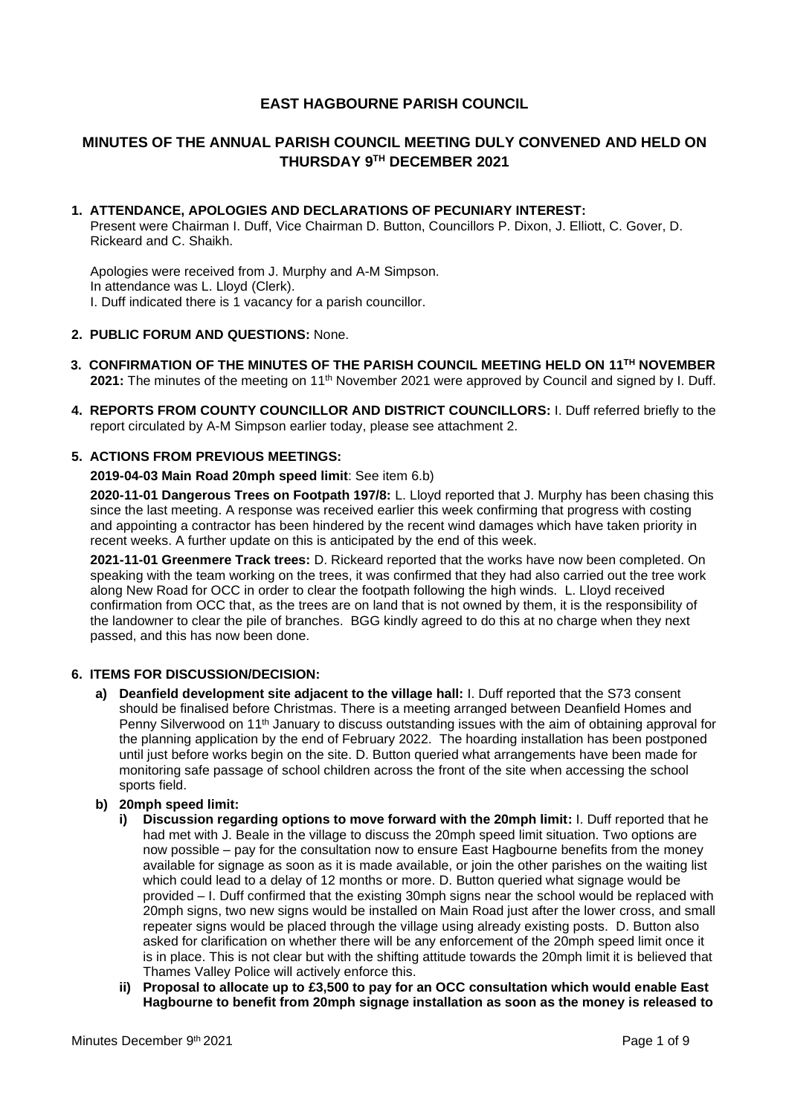# **EAST HAGBOURNE PARISH COUNCIL**

# **MINUTES OF THE ANNUAL PARISH COUNCIL MEETING DULY CONVENED AND HELD ON THURSDAY 9 TH DECEMBER 2021**

# **1. ATTENDANCE, APOLOGIES AND DECLARATIONS OF PECUNIARY INTEREST:**

Present were Chairman I. Duff, Vice Chairman D. Button, Councillors P. Dixon, J. Elliott, C. Gover, D. Rickeard and C. Shaikh.

Apologies were received from J. Murphy and A-M Simpson. In attendance was L. Lloyd (Clerk). I. Duff indicated there is 1 vacancy for a parish councillor.

## **2. PUBLIC FORUM AND QUESTIONS:** None.

- **3. CONFIRMATION OF THE MINUTES OF THE PARISH COUNCIL MEETING HELD ON 11 TH NOVEMBER** 2021: The minutes of the meeting on 11<sup>th</sup> November 2021 were approved by Council and signed by I. Duff.
- **4. REPORTS FROM COUNTY COUNCILLOR AND DISTRICT COUNCILLORS:** I. Duff referred briefly to the report circulated by A-M Simpson earlier today, please see attachment 2.

## **5. ACTIONS FROM PREVIOUS MEETINGS:**

## **2019-04-03 Main Road 20mph speed limit**: See item 6.b)

**2020-11-01 Dangerous Trees on Footpath 197/8:** L. Lloyd reported that J. Murphy has been chasing this since the last meeting. A response was received earlier this week confirming that progress with costing and appointing a contractor has been hindered by the recent wind damages which have taken priority in recent weeks. A further update on this is anticipated by the end of this week.

**2021-11-01 Greenmere Track trees:** D. Rickeard reported that the works have now been completed. On speaking with the team working on the trees, it was confirmed that they had also carried out the tree work along New Road for OCC in order to clear the footpath following the high winds. L. Lloyd received confirmation from OCC that, as the trees are on land that is not owned by them, it is the responsibility of the landowner to clear the pile of branches. BGG kindly agreed to do this at no charge when they next passed, and this has now been done.

# **6. ITEMS FOR DISCUSSION/DECISION:**

**a) Deanfield development site adjacent to the village hall:** I. Duff reported that the S73 consent should be finalised before Christmas. There is a meeting arranged between Deanfield Homes and Penny Silverwood on 11<sup>th</sup> January to discuss outstanding issues with the aim of obtaining approval for the planning application by the end of February 2022. The hoarding installation has been postponed until just before works begin on the site. D. Button queried what arrangements have been made for monitoring safe passage of school children across the front of the site when accessing the school sports field.

### **b) 20mph speed limit:**

- **i) Discussion regarding options to move forward with the 20mph limit:** I. Duff reported that he had met with J. Beale in the village to discuss the 20mph speed limit situation. Two options are now possible – pay for the consultation now to ensure East Hagbourne benefits from the money available for signage as soon as it is made available, or join the other parishes on the waiting list which could lead to a delay of 12 months or more. D. Button queried what signage would be provided – I. Duff confirmed that the existing 30mph signs near the school would be replaced with 20mph signs, two new signs would be installed on Main Road just after the lower cross, and small repeater signs would be placed through the village using already existing posts. D. Button also asked for clarification on whether there will be any enforcement of the 20mph speed limit once it is in place. This is not clear but with the shifting attitude towards the 20mph limit it is believed that Thames Valley Police will actively enforce this.
- **ii) Proposal to allocate up to £3,500 to pay for an OCC consultation which would enable East Hagbourne to benefit from 20mph signage installation as soon as the money is released to**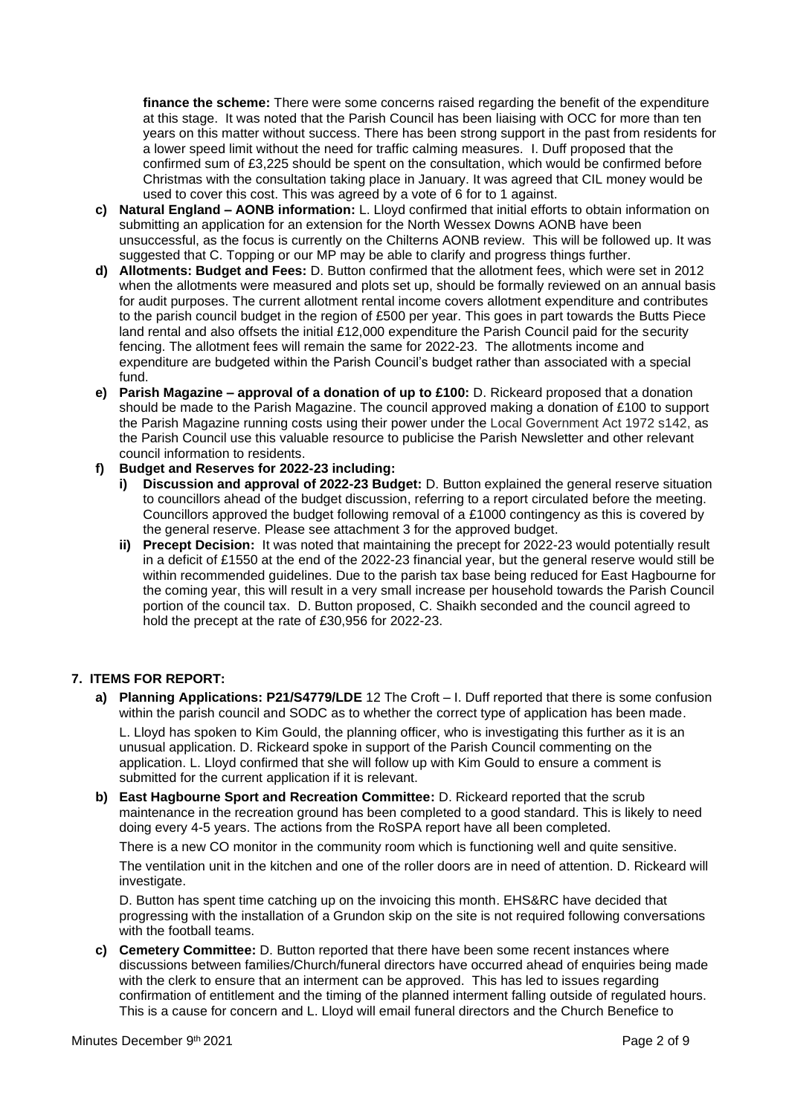**finance the scheme:** There were some concerns raised regarding the benefit of the expenditure at this stage. It was noted that the Parish Council has been liaising with OCC for more than ten years on this matter without success. There has been strong support in the past from residents for a lower speed limit without the need for traffic calming measures. I. Duff proposed that the confirmed sum of £3,225 should be spent on the consultation, which would be confirmed before Christmas with the consultation taking place in January. It was agreed that CIL money would be used to cover this cost. This was agreed by a vote of 6 for to 1 against.

- **c) Natural England – AONB information:** L. Lloyd confirmed that initial efforts to obtain information on submitting an application for an extension for the North Wessex Downs AONB have been unsuccessful, as the focus is currently on the Chilterns AONB review. This will be followed up. It was suggested that C. Topping or our MP may be able to clarify and progress things further.
- **d) Allotments: Budget and Fees:** D. Button confirmed that the allotment fees, which were set in 2012 when the allotments were measured and plots set up, should be formally reviewed on an annual basis for audit purposes. The current allotment rental income covers allotment expenditure and contributes to the parish council budget in the region of £500 per year. This goes in part towards the Butts Piece land rental and also offsets the initial £12,000 expenditure the Parish Council paid for the security fencing. The allotment fees will remain the same for 2022-23. The allotments income and expenditure are budgeted within the Parish Council's budget rather than associated with a special fund.
- **e) Parish Magazine – approval of a donation of up to £100:** D. Rickeard proposed that a donation should be made to the Parish Magazine. The council approved making a donation of £100 to support the Parish Magazine running costs using their power under the Local Government Act 1972 s142, as the Parish Council use this valuable resource to publicise the Parish Newsletter and other relevant council information to residents.

# **f) Budget and Reserves for 2022-23 including:**

- **i) Discussion and approval of 2022-23 Budget:** D. Button explained the general reserve situation to councillors ahead of the budget discussion, referring to a report circulated before the meeting. Councillors approved the budget following removal of a £1000 contingency as this is covered by the general reserve. Please see attachment 3 for the approved budget.
- **ii) Precept Decision:** It was noted that maintaining the precept for 2022-23 would potentially result in a deficit of £1550 at the end of the 2022-23 financial year, but the general reserve would still be within recommended guidelines. Due to the parish tax base being reduced for East Hagbourne for the coming year, this will result in a very small increase per household towards the Parish Council portion of the council tax. D. Button proposed, C. Shaikh seconded and the council agreed to hold the precept at the rate of £30,956 for 2022-23.

# **7. ITEMS FOR REPORT:**

- **a) Planning Applications: P21/S4779/LDE** 12 The Croft I. Duff reported that there is some confusion within the parish council and SODC as to whether the correct type of application has been made. L. Lloyd has spoken to Kim Gould, the planning officer, who is investigating this further as it is an unusual application. D. Rickeard spoke in support of the Parish Council commenting on the application. L. Lloyd confirmed that she will follow up with Kim Gould to ensure a comment is submitted for the current application if it is relevant.
- **b) East Hagbourne Sport and Recreation Committee:** D. Rickeard reported that the scrub maintenance in the recreation ground has been completed to a good standard. This is likely to need doing every 4-5 years. The actions from the RoSPA report have all been completed.

There is a new CO monitor in the community room which is functioning well and quite sensitive.

The ventilation unit in the kitchen and one of the roller doors are in need of attention. D. Rickeard will investigate.

D. Button has spent time catching up on the invoicing this month. EHS&RC have decided that progressing with the installation of a Grundon skip on the site is not required following conversations with the football teams.

**c) Cemetery Committee:** D. Button reported that there have been some recent instances where discussions between families/Church/funeral directors have occurred ahead of enquiries being made with the clerk to ensure that an interment can be approved. This has led to issues regarding confirmation of entitlement and the timing of the planned interment falling outside of regulated hours. This is a cause for concern and L. Lloyd will email funeral directors and the Church Benefice to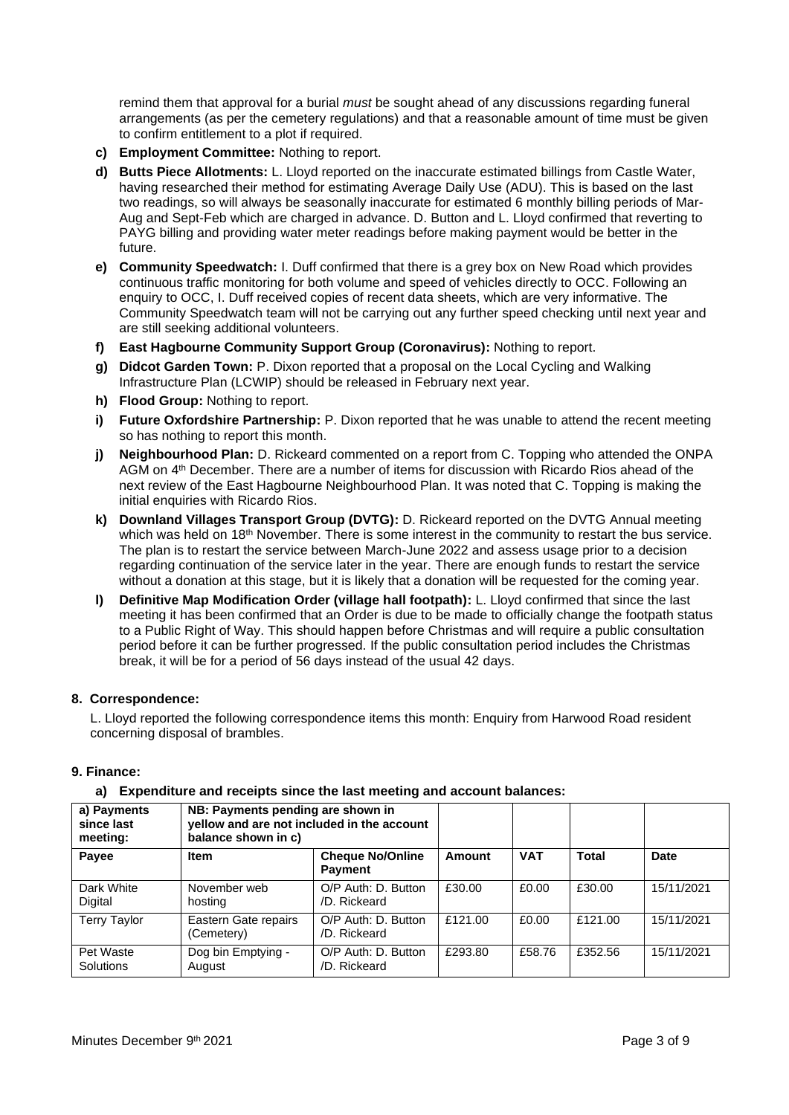remind them that approval for a burial *must* be sought ahead of any discussions regarding funeral arrangements (as per the cemetery regulations) and that a reasonable amount of time must be given to confirm entitlement to a plot if required.

- **c) Employment Committee:** Nothing to report.
- **d) Butts Piece Allotments:** L. Lloyd reported on the inaccurate estimated billings from Castle Water, having researched their method for estimating Average Daily Use (ADU). This is based on the last two readings, so will always be seasonally inaccurate for estimated 6 monthly billing periods of Mar-Aug and Sept-Feb which are charged in advance. D. Button and L. Lloyd confirmed that reverting to PAYG billing and providing water meter readings before making payment would be better in the future.
- **e) Community Speedwatch:** I. Duff confirmed that there is a grey box on New Road which provides continuous traffic monitoring for both volume and speed of vehicles directly to OCC. Following an enquiry to OCC, I. Duff received copies of recent data sheets, which are very informative. The Community Speedwatch team will not be carrying out any further speed checking until next year and are still seeking additional volunteers.
- **f) East Hagbourne Community Support Group (Coronavirus):** Nothing to report.
- **g) Didcot Garden Town:** P. Dixon reported that a proposal on the Local Cycling and Walking Infrastructure Plan (LCWIP) should be released in February next year.
- **h) Flood Group:** Nothing to report.
- **i) Future Oxfordshire Partnership:** P. Dixon reported that he was unable to attend the recent meeting so has nothing to report this month.
- **j) Neighbourhood Plan:** D. Rickeard commented on a report from C. Topping who attended the ONPA AGM on 4<sup>th</sup> December. There are a number of items for discussion with Ricardo Rios ahead of the next review of the East Hagbourne Neighbourhood Plan. It was noted that C. Topping is making the initial enquiries with Ricardo Rios.
- **k) Downland Villages Transport Group (DVTG):** D. Rickeard reported on the DVTG Annual meeting which was held on 18<sup>th</sup> November. There is some interest in the community to restart the bus service. The plan is to restart the service between March-June 2022 and assess usage prior to a decision regarding continuation of the service later in the year. There are enough funds to restart the service without a donation at this stage, but it is likely that a donation will be requested for the coming year.
- **l) Definitive Map Modification Order (village hall footpath):** L. Lloyd confirmed that since the last meeting it has been confirmed that an Order is due to be made to officially change the footpath status to a Public Right of Way. This should happen before Christmas and will require a public consultation period before it can be further progressed. If the public consultation period includes the Christmas break, it will be for a period of 56 days instead of the usual 42 days.

#### **8. Correspondence:**

L. Lloyd reported the following correspondence items this month: Enquiry from Harwood Road resident concerning disposal of brambles.

### **9. Finance:**

#### **a) Expenditure and receipts since the last meeting and account balances:**

| a) Payments<br>since last<br>meeting: | NB: Payments pending are shown in<br>yellow and are not included in the account<br>balance shown in c) |                                           |         |            |         |             |
|---------------------------------------|--------------------------------------------------------------------------------------------------------|-------------------------------------------|---------|------------|---------|-------------|
| Payee                                 | <b>Item</b>                                                                                            | <b>Cheque No/Online</b><br><b>Payment</b> | Amount  | <b>VAT</b> | Total   | <b>Date</b> |
| Dark White<br>Digital                 | November web<br>hosting                                                                                | O/P Auth: D. Button<br>/D. Rickeard       | £30.00  | £0.00      | £30.00  | 15/11/2021  |
| <b>Terry Taylor</b>                   | Eastern Gate repairs<br>(Cemetery)                                                                     | O/P Auth: D. Button<br>/D. Rickeard       | £121.00 | £0.00      | £121.00 | 15/11/2021  |
| Pet Waste<br>Solutions                | Dog bin Emptying -<br>August                                                                           | O/P Auth: D. Button<br>/D. Rickeard       | £293.80 | £58.76     | £352.56 | 15/11/2021  |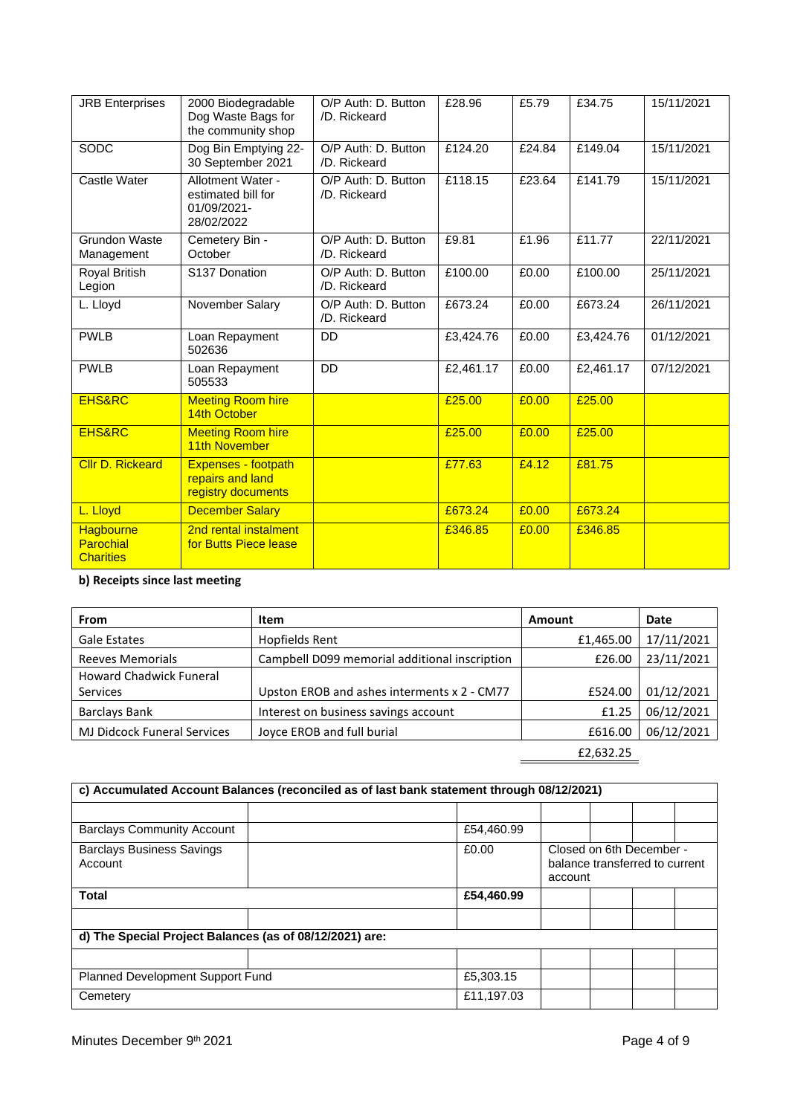| <b>JRB Enterprises</b>                     | 2000 Biodegradable<br>Dog Waste Bags for<br>the community shop       | O/P Auth: D. Button<br>/D. Rickeard | £28.96    | £5.79  | £34.75    | 15/11/2021 |
|--------------------------------------------|----------------------------------------------------------------------|-------------------------------------|-----------|--------|-----------|------------|
| SODC                                       | Dog Bin Emptying 22-<br>30 September 2021                            | O/P Auth: D. Button<br>/D. Rickeard | £124.20   | £24.84 | £149.04   | 15/11/2021 |
| Castle Water                               | Allotment Water -<br>estimated bill for<br>01/09/2021-<br>28/02/2022 | O/P Auth: D. Button<br>/D. Rickeard | £118.15   | £23.64 | £141.79   | 15/11/2021 |
| Grundon Waste<br>Management                | Cemetery Bin -<br>October                                            | O/P Auth: D. Button<br>/D. Rickeard | £9.81     | £1.96  | £11.77    | 22/11/2021 |
| Royal British<br>Legion                    | S137 Donation                                                        | O/P Auth: D. Button<br>/D. Rickeard | £100.00   | £0.00  | £100.00   | 25/11/2021 |
| L. Lloyd                                   | November Salary                                                      | O/P Auth: D. Button<br>/D. Rickeard | £673.24   | £0.00  | £673.24   | 26/11/2021 |
| <b>PWLB</b>                                | Loan Repayment<br>502636                                             | <b>DD</b>                           | £3,424.76 | £0.00  | £3,424.76 | 01/12/2021 |
| <b>PWLB</b>                                | Loan Repayment<br>505533                                             | DD                                  | £2,461.17 | £0.00  | £2,461.17 | 07/12/2021 |
| <b>EHS&amp;RC</b>                          | <b>Meeting Room hire</b><br>14th October                             |                                     | £25.00    | £0.00  | £25.00    |            |
| <b>EHS&amp;RC</b>                          | <b>Meeting Room hire</b><br>11th November                            |                                     | £25.00    | £0.00  | £25.00    |            |
| <b>Cllr D. Rickeard</b>                    | Expenses - footpath<br>repairs and land<br>registry documents        |                                     | £77.63    | £4.12  | £81.75    |            |
| L. Lloyd                                   | <b>December Salary</b>                                               |                                     | £673.24   | £0.00  | £673.24   |            |
| Hagbourne<br>Parochial<br><b>Charities</b> | 2nd rental instalment<br>for Butts Piece lease                       |                                     | £346.85   | £0.00  | £346.85   |            |

# **b) Receipts since last meeting**

| <b>From</b>                        | Item                                          | Amount    | Date       |
|------------------------------------|-----------------------------------------------|-----------|------------|
| Gale Estates                       | Hopfields Rent                                | £1,465.00 | 17/11/2021 |
| <b>Reeves Memorials</b>            | Campbell D099 memorial additional inscription | £26.00    | 23/11/2021 |
| <b>Howard Chadwick Funeral</b>     |                                               |           |            |
| <b>Services</b>                    | Upston EROB and ashes interments x 2 - CM77   | £524.00   | 01/12/2021 |
| Barclays Bank                      | Interest on business savings account          | £1.25     | 06/12/2021 |
| <b>MJ Didcock Funeral Services</b> | Joyce EROB and full burial                    | £616.00   | 06/12/2021 |
|                                    |                                               | £2,632.25 |            |

| c) Accumulated Account Balances (reconciled as of last bank statement through 08/12/2021) |  |            |                                                                       |  |  |  |  |  |
|-------------------------------------------------------------------------------------------|--|------------|-----------------------------------------------------------------------|--|--|--|--|--|
|                                                                                           |  |            |                                                                       |  |  |  |  |  |
| <b>Barclays Community Account</b>                                                         |  | £54,460.99 |                                                                       |  |  |  |  |  |
| <b>Barclays Business Savings</b><br>Account                                               |  | £0.00      | Closed on 6th December -<br>balance transferred to current<br>account |  |  |  |  |  |
| <b>Total</b>                                                                              |  | £54,460.99 |                                                                       |  |  |  |  |  |
|                                                                                           |  |            |                                                                       |  |  |  |  |  |
| d) The Special Project Balances (as of 08/12/2021) are:                                   |  |            |                                                                       |  |  |  |  |  |
|                                                                                           |  |            |                                                                       |  |  |  |  |  |
| <b>Planned Development Support Fund</b>                                                   |  | £5,303.15  |                                                                       |  |  |  |  |  |
| Cemetery                                                                                  |  | £11,197.03 |                                                                       |  |  |  |  |  |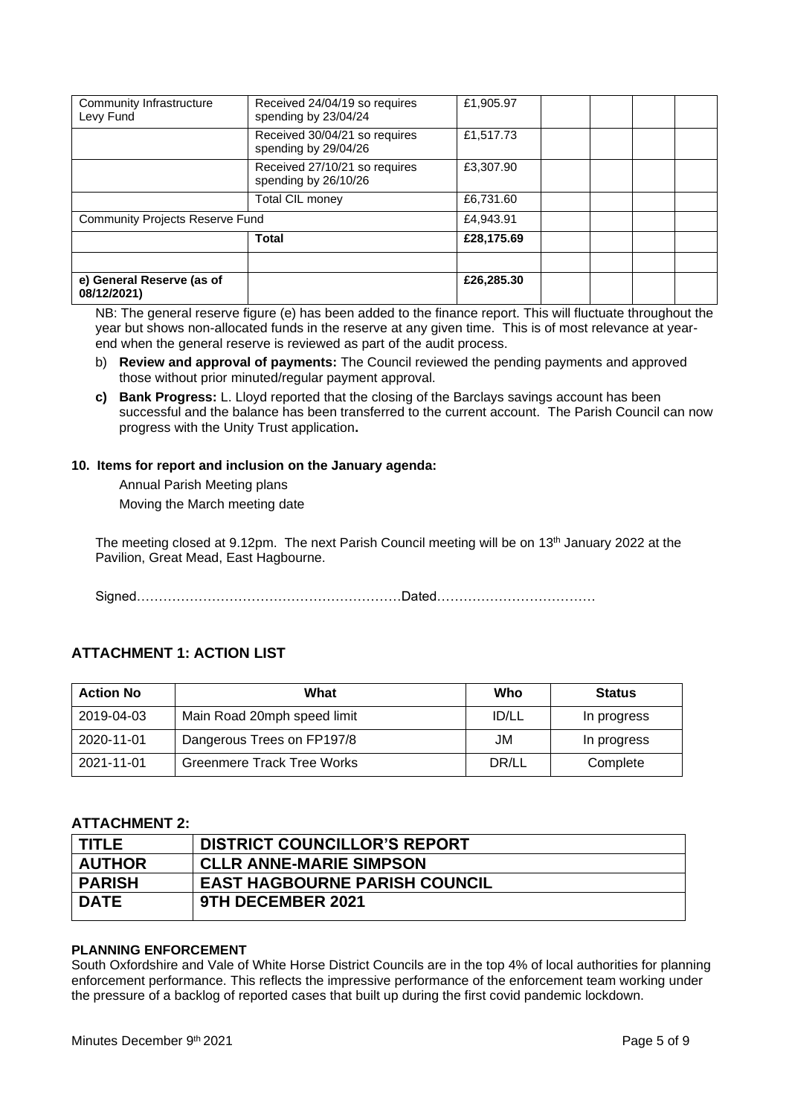| Community Infrastructure<br>Levy Fund    | Received 24/04/19 so requires<br>spending by 23/04/24 | £1,905.97  |  |
|------------------------------------------|-------------------------------------------------------|------------|--|
|                                          | Received 30/04/21 so requires<br>spending by 29/04/26 | £1,517.73  |  |
|                                          | Received 27/10/21 so requires<br>spending by 26/10/26 | £3,307.90  |  |
|                                          | Total CIL money                                       | £6,731.60  |  |
| <b>Community Projects Reserve Fund</b>   |                                                       | £4,943.91  |  |
|                                          | <b>Total</b>                                          | £28,175.69 |  |
|                                          |                                                       |            |  |
| e) General Reserve (as of<br>08/12/2021) |                                                       | £26,285.30 |  |

NB: The general reserve figure (e) has been added to the finance report. This will fluctuate throughout the year but shows non-allocated funds in the reserve at any given time. This is of most relevance at yearend when the general reserve is reviewed as part of the audit process.

- b) **Review and approval of payments:** The Council reviewed the pending payments and approved those without prior minuted/regular payment approval.
- **c) Bank Progress:** L. Lloyd reported that the closing of the Barclays savings account has been successful and the balance has been transferred to the current account. The Parish Council can now progress with the Unity Trust application**.**

## **10. Items for report and inclusion on the January agenda:**

Annual Parish Meeting plans Moving the March meeting date

The meeting closed at 9.12pm. The next Parish Council meeting will be on 13<sup>th</sup> January 2022 at the Pavilion, Great Mead, East Hagbourne.

Signed……………………………………………………Dated………………………………

# **ATTACHMENT 1: ACTION LIST**

| <b>Action No</b> | What                              | Who          | <b>Status</b> |
|------------------|-----------------------------------|--------------|---------------|
| 2019-04-03       | Main Road 20mph speed limit       | <b>ID/LL</b> | In progress   |
| 2020-11-01       | Dangerous Trees on FP197/8        | JM           | In progress   |
| 2021-11-01       | <b>Greenmere Track Tree Works</b> | DR/LL        | Complete      |

# **ATTACHMENT 2:**

| <b>TITLE</b>  | <b>DISTRICT COUNCILLOR'S REPORT</b>  |
|---------------|--------------------------------------|
| <b>AUTHOR</b> | <b>CLLR ANNE-MARIE SIMPSON</b>       |
| <b>PARISH</b> | <b>EAST HAGBOURNE PARISH COUNCIL</b> |
| <b>DATE</b>   | 9TH DECEMBER 2021                    |
|               |                                      |

## **PLANNING ENFORCEMENT**

South Oxfordshire and Vale of White Horse District Councils are in the top 4% of local authorities for planning enforcement performance. This reflects the impressive performance of the enforcement team working under the pressure of a backlog of reported cases that built up during the first covid pandemic lockdown.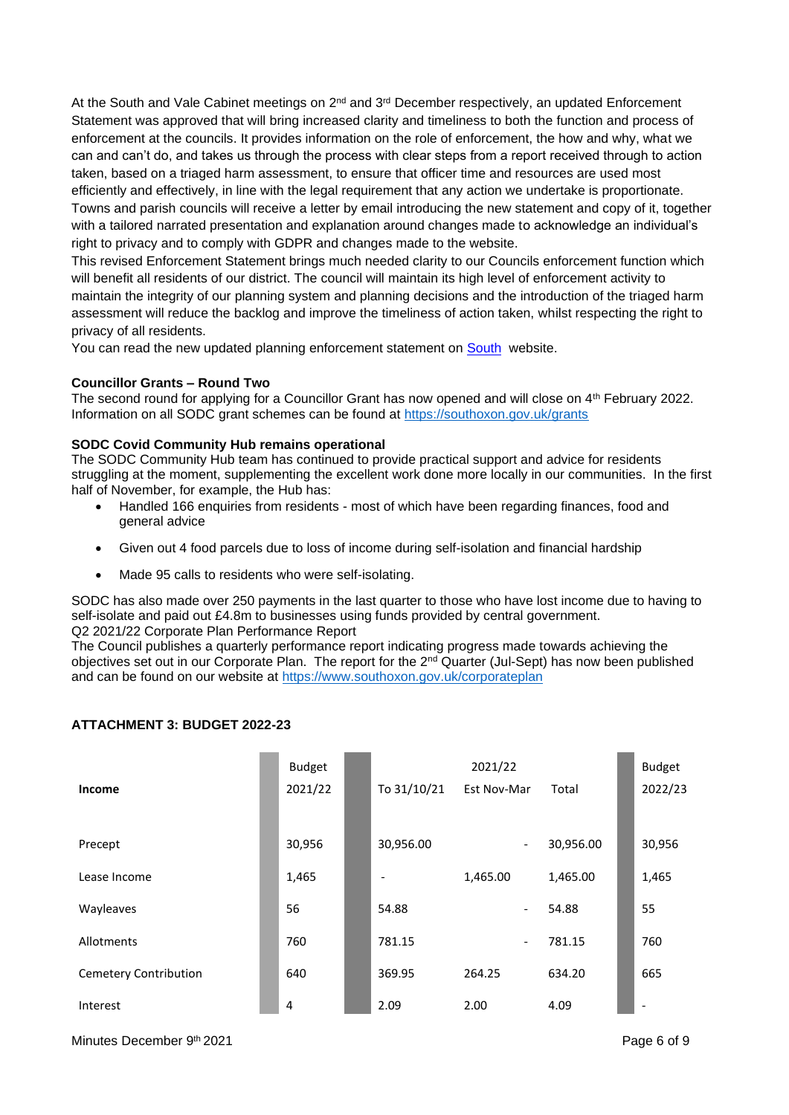At the South and Vale Cabinet meetings on  $2^{nd}$  and  $3^{rd}$  December respectively, an updated Enforcement Statement was approved that will bring increased clarity and timeliness to both the function and process of enforcement at the councils. It provides information on the role of enforcement, the how and why, what we can and can't do, and takes us through the process with clear steps from a report received through to action taken, based on a triaged harm assessment, to ensure that officer time and resources are used most efficiently and effectively, in line with the legal requirement that any action we undertake is proportionate. Towns and parish councils will receive a letter by email introducing the new statement and copy of it, together with a tailored narrated presentation and explanation around changes made to acknowledge an individual's right to privacy and to comply with GDPR and changes made to the website.

This revised Enforcement Statement brings much needed clarity to our Councils enforcement function which will benefit all residents of our district. The council will maintain its high level of enforcement activity to maintain the integrity of our planning system and planning decisions and the introduction of the triaged harm assessment will reduce the backlog and improve the timeliness of action taken, whilst respecting the right to privacy of all residents.

You can read the new updated planning enforcement statement on [South](http://democratic.southoxon.gov.uk/documents/s25211/Appendix%201%20-%20Planning%20Enforcement%20Statement.pdf) website.

#### **Councillor Grants – Round Two**

The second round for applying for a Councillor Grant has now opened and will close on 4<sup>th</sup> February 2022. Information on all SODC grant schemes can be found at<https://southoxon.gov.uk/grants>

#### **SODC Covid Community Hub remains operational**

The SODC Community Hub team has continued to provide practical support and advice for residents struggling at the moment, supplementing the excellent work done more locally in our communities. In the first half of November, for example, the Hub has:

- Handled 166 enquiries from residents most of which have been regarding finances, food and general advice
- Given out 4 food parcels due to loss of income during self-isolation and financial hardship
- Made 95 calls to residents who were self-isolating.

SODC has also made over 250 payments in the last quarter to those who have lost income due to having to self-isolate and paid out £4.8m to businesses using funds provided by central government. Q2 2021/22 Corporate Plan Performance Report

The Council publishes a quarterly performance report indicating progress made towards achieving the objectives set out in our Corporate Plan. The report for the 2nd Quarter (Jul-Sept) has now been published and can be found on our website at<https://www.southoxon.gov.uk/corporateplan>

|                       | <b>Budget</b> |                          | 2021/22                  |           | <b>Budget</b>            |
|-----------------------|---------------|--------------------------|--------------------------|-----------|--------------------------|
| <b>Income</b>         | 2021/22       | To 31/10/21              | Est Nov-Mar              | Total     | 2022/23                  |
|                       |               |                          |                          |           |                          |
| Precept               | 30,956        | 30,956.00                | $\sim$                   | 30,956.00 | 30,956                   |
| Lease Income          | 1,465         | $\overline{\phantom{a}}$ | 1,465.00                 | 1,465.00  | 1,465                    |
| Wayleaves             | 56            | 54.88                    | $\overline{\phantom{a}}$ | 54.88     | 55                       |
| Allotments            | 760           | 781.15                   | $\overline{\phantom{a}}$ | 781.15    | 760                      |
| Cemetery Contribution | 640           | 369.95                   | 264.25                   | 634.20    | 665                      |
| Interest              | 4             | 2.09                     | 2.00                     | 4.09      | $\overline{\phantom{a}}$ |

### **ATTACHMENT 3: BUDGET 2022-23**

Minutes December 9th 2021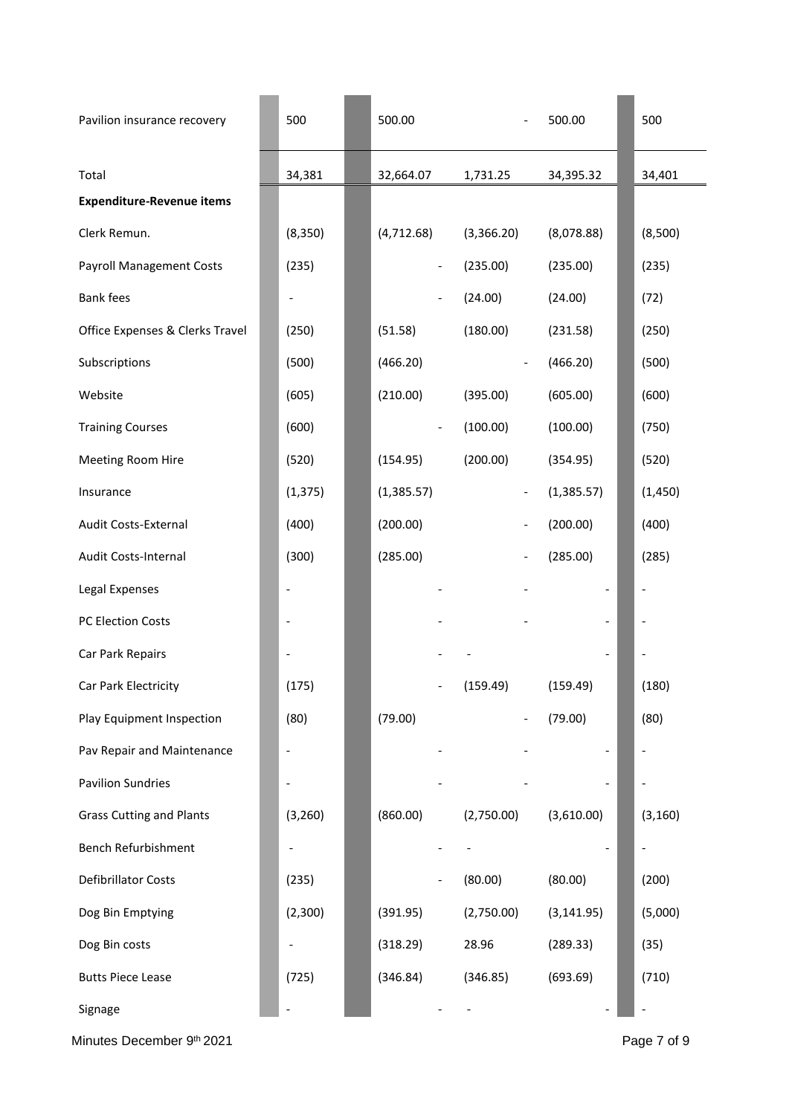| Pavilion insurance recovery      | 500                          | 500.00                   |                          | 500.00      | 500                          |
|----------------------------------|------------------------------|--------------------------|--------------------------|-------------|------------------------------|
| Total                            | 34,381                       | 32,664.07                | 1,731.25                 | 34,395.32   | 34,401                       |
| <b>Expenditure-Revenue items</b> |                              |                          |                          |             |                              |
| Clerk Remun.                     | (8, 350)                     | (4, 712.68)              | (3,366.20)               | (8,078.88)  | (8,500)                      |
| <b>Payroll Management Costs</b>  | (235)                        |                          | (235.00)                 | (235.00)    | (235)                        |
| <b>Bank fees</b>                 |                              |                          | (24.00)                  | (24.00)     | (72)                         |
| Office Expenses & Clerks Travel  | (250)                        | (51.58)                  | (180.00)                 | (231.58)    | (250)                        |
| Subscriptions                    | (500)                        | (466.20)                 |                          | (466.20)    | (500)                        |
| Website                          | (605)                        | (210.00)                 | (395.00)                 | (605.00)    | (600)                        |
| <b>Training Courses</b>          | (600)                        | $\overline{\phantom{a}}$ | (100.00)                 | (100.00)    | (750)                        |
| Meeting Room Hire                | (520)                        | (154.95)                 | (200.00)                 | (354.95)    | (520)                        |
| Insurance                        | (1, 375)                     | (1,385.57)               | $\overline{\phantom{a}}$ | (1,385.57)  | (1, 450)                     |
| Audit Costs-External             | (400)                        | (200.00)                 |                          | (200.00)    | (400)                        |
| Audit Costs-Internal             | (300)                        | (285.00)                 |                          | (285.00)    | (285)                        |
| Legal Expenses                   | $\qquad \qquad \blacksquare$ |                          |                          |             | $\qquad \qquad \blacksquare$ |
| PC Election Costs                |                              |                          |                          |             |                              |
| Car Park Repairs                 |                              |                          |                          |             |                              |
| Car Park Electricity             | (175)                        |                          | (159.49)                 | (159.49)    | (180)                        |
| Play Equipment Inspection        | (80)                         | (79.00)                  |                          | (79.00)     | (80)                         |
| Pav Repair and Maintenance       |                              |                          |                          |             |                              |
| <b>Pavilion Sundries</b>         |                              |                          |                          |             |                              |
| <b>Grass Cutting and Plants</b>  | (3,260)                      | (860.00)                 | (2,750.00)               | (3,610.00)  | (3, 160)                     |
| Bench Refurbishment              |                              |                          |                          |             |                              |
| Defibrillator Costs              | (235)                        |                          | (80.00)                  | (80.00)     | (200)                        |
| Dog Bin Emptying                 | (2,300)                      | (391.95)                 | (2,750.00)               | (3, 141.95) | (5,000)                      |
| Dog Bin costs                    |                              | (318.29)                 | 28.96                    | (289.33)    | (35)                         |
| <b>Butts Piece Lease</b>         | (725)                        | (346.84)                 | (346.85)                 | (693.69)    | (710)                        |
| Signage                          | $\qquad \qquad \blacksquare$ |                          |                          |             | $\qquad \qquad -$            |

Minutes December 9th 2021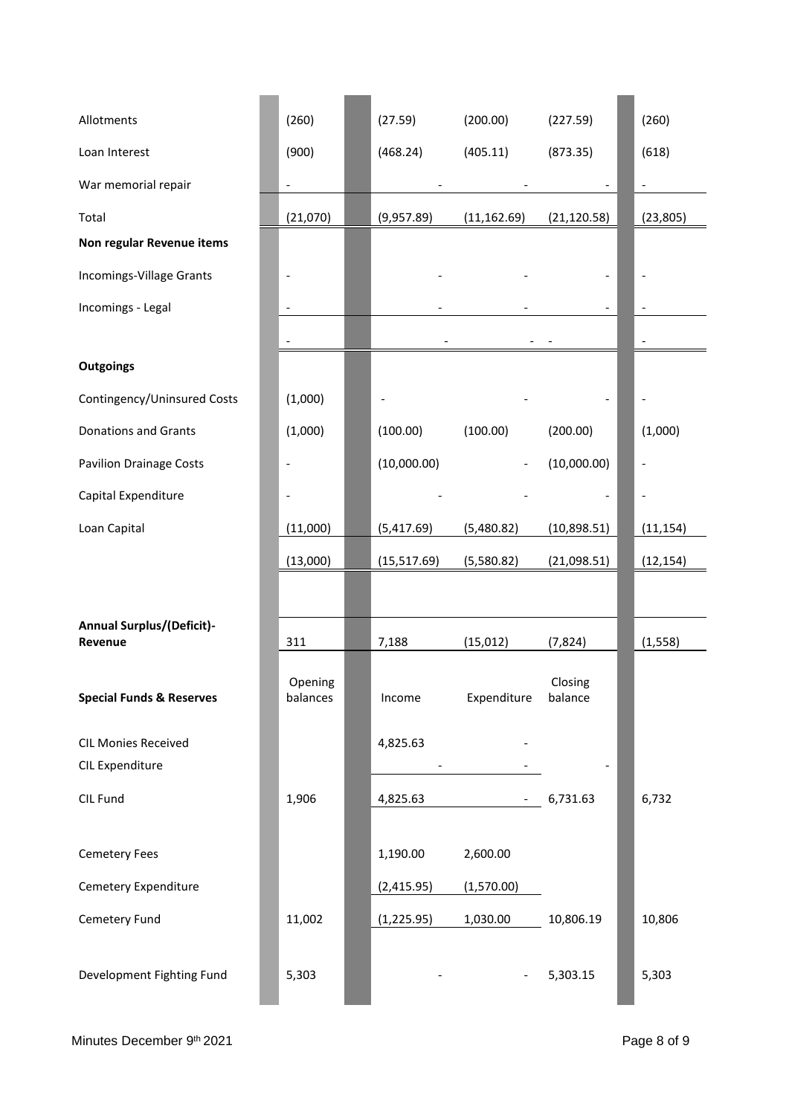| Allotments                                    | (260)                    | (27.59)     | (200.00)                 | (227.59)           | (260)                        |
|-----------------------------------------------|--------------------------|-------------|--------------------------|--------------------|------------------------------|
| Loan Interest                                 | (900)                    | (468.24)    | (405.11)                 | (873.35)           | (618)                        |
| War memorial repair                           | $\blacksquare$           |             |                          |                    | $\overline{\phantom{0}}$     |
| Total                                         | (21,070)                 | (9,957.89)  | (11, 162.69)             | (21, 120.58)       | (23, 805)                    |
| Non regular Revenue items                     |                          |             |                          |                    |                              |
| Incomings-Village Grants                      |                          |             |                          |                    |                              |
| Incomings - Legal                             | $\overline{\phantom{m}}$ |             |                          |                    | $\qquad \qquad \blacksquare$ |
|                                               | $\overline{\phantom{a}}$ |             |                          |                    | $\overline{\phantom{a}}$     |
| <b>Outgoings</b>                              |                          |             |                          |                    |                              |
| Contingency/Uninsured Costs                   | (1,000)                  |             |                          |                    |                              |
| <b>Donations and Grants</b>                   | (1,000)                  | (100.00)    | (100.00)                 | (200.00)           | (1,000)                      |
| <b>Pavilion Drainage Costs</b>                |                          | (10,000.00) |                          | (10,000.00)        |                              |
| Capital Expenditure                           |                          |             |                          |                    |                              |
| Loan Capital                                  | (11,000)                 | (5,417.69)  | (5,480.82)               | (10,898.51)        | (11, 154)                    |
|                                               | (13,000)                 | (15,517.69) | (5,580.82)               | (21,098.51)        | (12, 154)                    |
|                                               |                          |             |                          |                    |                              |
| <b>Annual Surplus/(Deficit)-</b><br>Revenue   | 311                      | 7,188       | (15, 012)                | (7, 824)           | (1, 558)                     |
| <b>Special Funds &amp; Reserves</b>           | Opening<br>balances      | Income      | Expenditure              | Closing<br>balance |                              |
| <b>CIL Monies Received</b><br>CIL Expenditure |                          | 4,825.63    |                          |                    |                              |
| CIL Fund                                      | 1,906                    | 4,825.63    |                          | $-6,731.63$        | 6,732                        |
| <b>Cemetery Fees</b>                          |                          | 1,190.00    | 2,600.00                 |                    |                              |
| Cemetery Expenditure                          |                          | (2,415.95)  | (1,570.00)               |                    |                              |
| Cemetery Fund                                 | 11,002                   | (1,225.95)  | 1,030.00                 | 10,806.19          | 10,806                       |
| Development Fighting Fund                     | 5,303                    |             | $\overline{\phantom{a}}$ | 5,303.15           | 5,303                        |